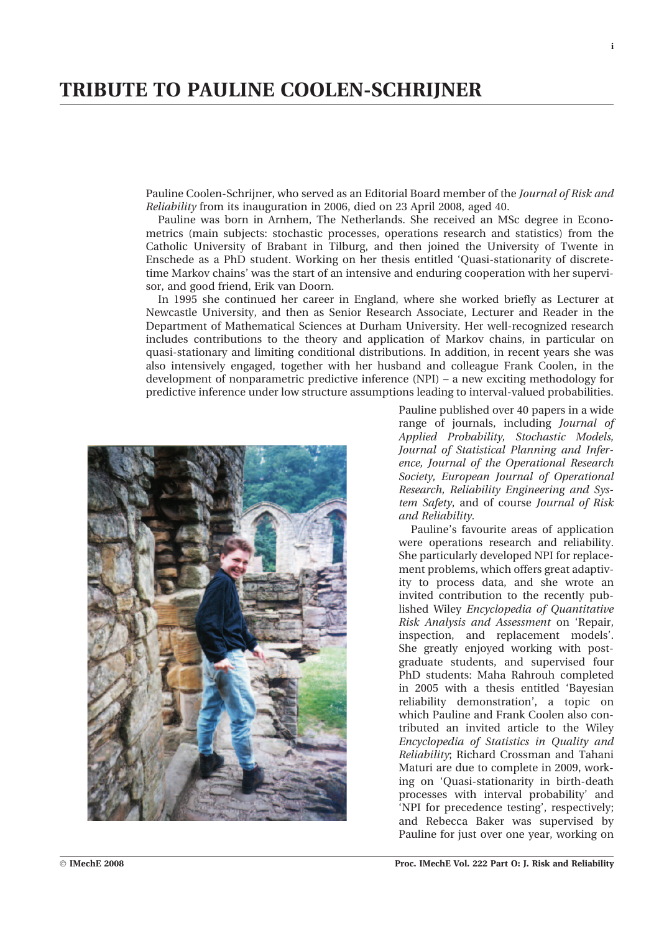## TRIBUTE TO PAULINE COOLEN-SCHRIJNER

Pauline Coolen-Schrijner, who served as an Editorial Board member of the Journal of Risk and Reliability from its inauguration in 2006, died on 23 April 2008, aged 40.

Pauline was born in Arnhem, The Netherlands. She received an MSc degree in Econometrics (main subjects: stochastic processes, operations research and statistics) from the Catholic University of Brabant in Tilburg, and then joined the University of Twente in Enschede as a PhD student. Working on her thesis entitled 'Quasi-stationarity of discretetime Markov chains' was the start of an intensive and enduring cooperation with her supervisor, and good friend, Erik van Doorn.

In 1995 she continued her career in England, where she worked briefly as Lecturer at Newcastle University, and then as Senior Research Associate, Lecturer and Reader in the Department of Mathematical Sciences at Durham University. Her well-recognized research includes contributions to the theory and application of Markov chains, in particular on quasi-stationary and limiting conditional distributions. In addition, in recent years she was also intensively engaged, together with her husband and colleague Frank Coolen, in the development of nonparametric predictive inference (NPI) – a new exciting methodology for predictive inference under low structure assumptions leading to interval-valued probabilities.



Pauline published over 40 papers in a wide range of journals, including Journal of Applied Probability, Stochastic Models, Journal of Statistical Planning and Inference, Journal of the Operational Research Society, European Journal of Operational Research, Reliability Engineering and System Safety, and of course Journal of Risk and Reliability.

Pauline's favourite areas of application were operations research and reliability. She particularly developed NPI for replacement problems, which offers great adaptivity to process data, and she wrote an invited contribution to the recently published Wiley Encyclopedia of Quantitative Risk Analysis and Assessment on 'Repair, inspection, and replacement models'. She greatly enjoyed working with postgraduate students, and supervised four PhD students: Maha Rahrouh completed in 2005 with a thesis entitled 'Bayesian reliability demonstration', a topic on which Pauline and Frank Coolen also contributed an invited article to the Wiley Encyclopedia of Statistics in Quality and Reliability; Richard Crossman and Tahani Maturi are due to complete in 2009, working on 'Quasi-stationarity in birth-death processes with interval probability' and 'NPI for precedence testing', respectively; and Rebecca Baker was supervised by Pauline for just over one year, working on